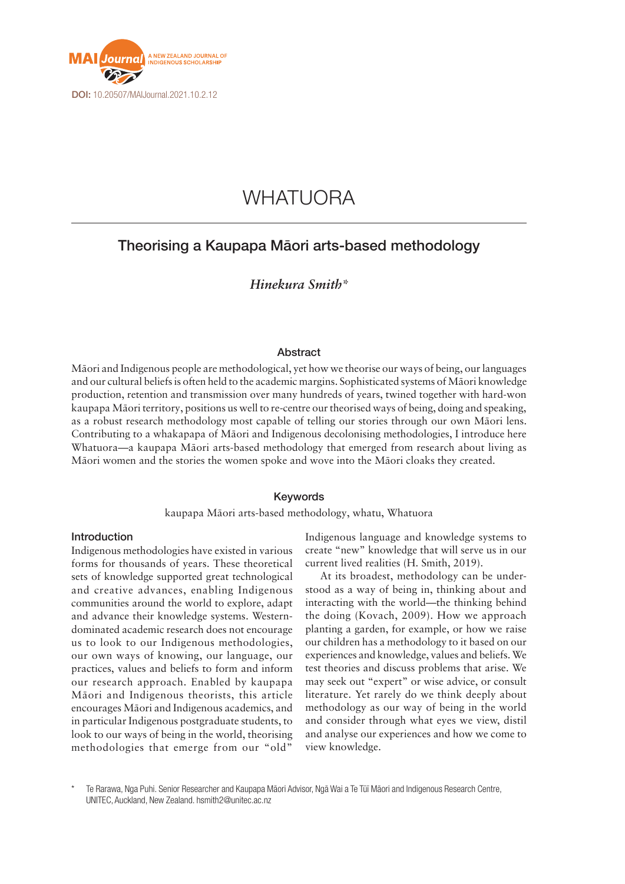

# WHATUORA

# Theorising a Kaupapa Māori arts-based methodology

# *Hinekura Smith\**

# Abstract

Māori and Indigenous people are methodological, yet how we theorise our ways of being, our languages and our cultural beliefs is often held to the academic margins. Sophisticated systems of Māori knowledge production, retention and transmission over many hundreds of years, twined together with hard-won kaupapa Māori territory, positions us well to re-centre our theorised ways of being, doing and speaking, as a robust research methodology most capable of telling our stories through our own Māori lens. Contributing to a whakapapa of Māori and Indigenous decolonising methodologies, I introduce here Whatuora—a kaupapa Māori arts-based methodology that emerged from research about living as Māori women and the stories the women spoke and wove into the Māori cloaks they created.

# Keywords

kaupapa Māori arts-based methodology, whatu, Whatuora

# Introduction

Indigenous methodologies have existed in various forms for thousands of years. These theoretical sets of knowledge supported great technological and creative advances, enabling Indigenous communities around the world to explore, adapt and advance their knowledge systems. Westerndominated academic research does not encourage us to look to our Indigenous methodologies, our own ways of knowing, our language, our practices, values and beliefs to form and inform our research approach. Enabled by kaupapa Māori and Indigenous theorists, this article encourages Māori and Indigenous academics, and in particular Indigenous postgraduate students, to look to our ways of being in the world, theorising methodologies that emerge from our "old"

Indigenous language and knowledge systems to create "new" knowledge that will serve us in our current lived realities (H. Smith, 2019).

At its broadest, methodology can be understood as a way of being in, thinking about and interacting with the world—the thinking behind the doing (Kovach, 2009). How we approach planting a garden, for example, or how we raise our children has a methodology to it based on our experiences and knowledge, values and beliefs. We test theories and discuss problems that arise. We may seek out "expert" or wise advice, or consult literature. Yet rarely do we think deeply about methodology as our way of being in the world and consider through what eyes we view, distil and analyse our experiences and how we come to view knowledge.

\* Te Rarawa, Nga Puhi. Senior Researcher and Kaupapa Māori Advisor, Ngā Wai a Te Tūī Māori and Indigenous Research Centre, UNITEC, Auckland, New Zealand. hsmith2@unitec.ac.nz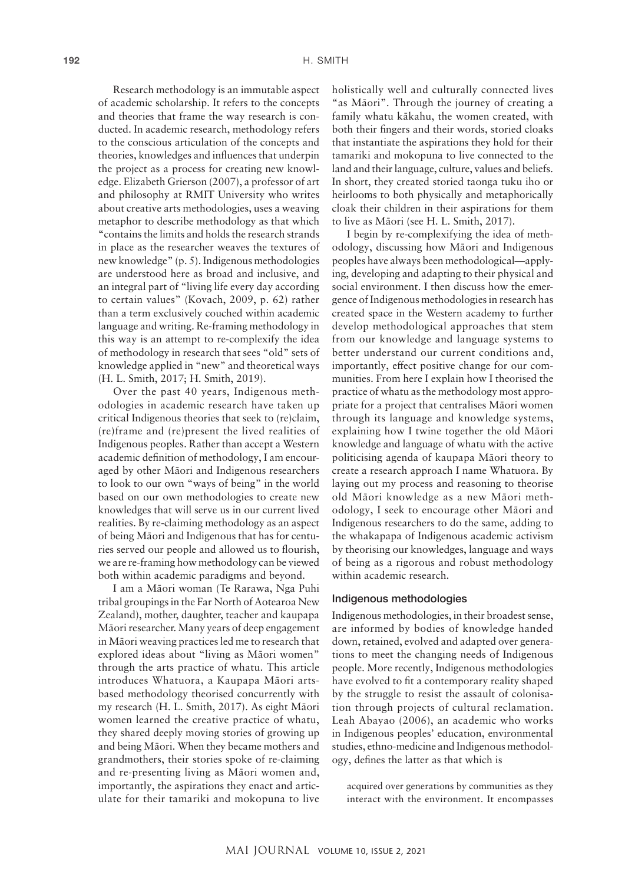Research methodology is an immutable aspect of academic scholarship. It refers to the concepts and theories that frame the way research is conducted. In academic research, methodology refers to the conscious articulation of the concepts and theories, knowledges and influences that underpin the project as a process for creating new knowledge. Elizabeth Grierson (2007), a professor of art and philosophy at RMIT University who writes about creative arts methodologies, uses a weaving metaphor to describe methodology as that which "contains the limits and holds the research strands in place as the researcher weaves the textures of new knowledge" (p. 5). Indigenous methodologies are understood here as broad and inclusive, and an integral part of "living life every day according to certain values" (Kovach, 2009, p. 62) rather than a term exclusively couched within academic language and writing. Re-framing methodology in this way is an attempt to re-complexify the idea of methodology in research that sees "old" sets of knowledge applied in "new" and theoretical ways (H. L. Smith, 2017; H. Smith, 2019).

Over the past 40 years, Indigenous methodologies in academic research have taken up critical Indigenous theories that seek to (re)claim, (re)frame and (re)present the lived realities of Indigenous peoples. Rather than accept a Western academic definition of methodology, I am encouraged by other Māori and Indigenous researchers to look to our own "ways of being" in the world based on our own methodologies to create new knowledges that will serve us in our current lived realities. By re-claiming methodology as an aspect of being Māori and Indigenous that has for centuries served our people and allowed us to flourish, we are re-framing how methodology can be viewed both within academic paradigms and beyond.

I am a Māori woman (Te Rarawa, Nga Puhi tribal groupings in the Far North of Aotearoa New Zealand), mother, daughter, teacher and kaupapa Māori researcher. Many years of deep engagement in Māori weaving practices led me to research that explored ideas about "living as Māori women" through the arts practice of whatu. This article introduces Whatuora, a Kaupapa Māori artsbased methodology theorised concurrently with my research (H. L. Smith, 2017). As eight Māori women learned the creative practice of whatu, they shared deeply moving stories of growing up and being Māori. When they became mothers and grandmothers, their stories spoke of re-claiming and re-presenting living as Māori women and, importantly, the aspirations they enact and articulate for their tamariki and mokopuna to live

holistically well and culturally connected lives "as Māori". Through the journey of creating a family whatu kākahu, the women created, with both their fingers and their words, storied cloaks that instantiate the aspirations they hold for their tamariki and mokopuna to live connected to the land and their language, culture, values and beliefs. In short, they created storied taonga tuku iho or heirlooms to both physically and metaphorically cloak their children in their aspirations for them to live as Māori (see H. L. Smith, 2017).

I begin by re-complexifying the idea of methodology, discussing how Māori and Indigenous peoples have always been methodological—applying, developing and adapting to their physical and social environment. I then discuss how the emergence of Indigenous methodologies in research has created space in the Western academy to further develop methodological approaches that stem from our knowledge and language systems to better understand our current conditions and, importantly, effect positive change for our communities. From here I explain how I theorised the practice of whatu as the methodology most appropriate for a project that centralises Māori women through its language and knowledge systems, explaining how I twine together the old Māori knowledge and language of whatu with the active politicising agenda of kaupapa Māori theory to create a research approach I name Whatuora. By laying out my process and reasoning to theorise old Māori knowledge as a new Māori methodology, I seek to encourage other Māori and Indigenous researchers to do the same, adding to the whakapapa of Indigenous academic activism by theorising our knowledges, language and ways of being as a rigorous and robust methodology within academic research.

#### Indigenous methodologies

Indigenous methodologies, in their broadest sense, are informed by bodies of knowledge handed down, retained, evolved and adapted over generations to meet the changing needs of Indigenous people. More recently, Indigenous methodologies have evolved to fit a contemporary reality shaped by the struggle to resist the assault of colonisation through projects of cultural reclamation. Leah Abayao (2006), an academic who works in Indigenous peoples' education, environmental studies, ethno-medicine and Indigenous methodology, defines the latter as that which is

acquired over generations by communities as they interact with the environment. It encompasses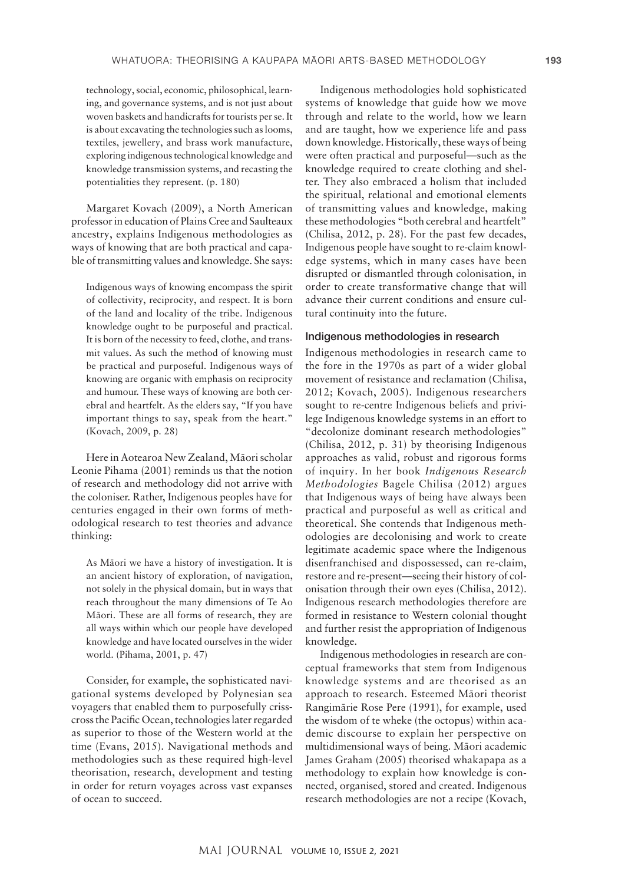technology, social, economic, philosophical, learning, and governance systems, and is not just about woven baskets and handicrafts for tourists per se. It is about excavating the technologies such as looms, textiles, jewellery, and brass work manufacture, exploring indigenous technological knowledge and knowledge transmission systems, and recasting the potentialities they represent. (p. 180)

Margaret Kovach (2009), a North American professor in education of Plains Cree and Saulteaux ancestry, explains Indigenous methodologies as ways of knowing that are both practical and capable of transmitting values and knowledge. She says:

Indigenous ways of knowing encompass the spirit of collectivity, reciprocity, and respect. It is born of the land and locality of the tribe. Indigenous knowledge ought to be purposeful and practical. It is born of the necessity to feed, clothe, and transmit values. As such the method of knowing must be practical and purposeful. Indigenous ways of knowing are organic with emphasis on reciprocity and humour. These ways of knowing are both cerebral and heartfelt. As the elders say, "If you have important things to say, speak from the heart." (Kovach, 2009, p. 28)

Here in Aotearoa New Zealand, Māori scholar Leonie Pihama (2001) reminds us that the notion of research and methodology did not arrive with the coloniser. Rather, Indigenous peoples have for centuries engaged in their own forms of methodological research to test theories and advance thinking:

As Māori we have a history of investigation. It is an ancient history of exploration, of navigation, not solely in the physical domain, but in ways that reach throughout the many dimensions of Te Ao Māori. These are all forms of research, they are all ways within which our people have developed knowledge and have located ourselves in the wider world. (Pihama, 2001, p. 47)

Consider, for example, the sophisticated navigational systems developed by Polynesian sea voyagers that enabled them to purposefully crisscross the Pacific Ocean, technologies later regarded as superior to those of the Western world at the time (Evans, 2015). Navigational methods and methodologies such as these required high-level theorisation, research, development and testing in order for return voyages across vast expanses of ocean to succeed.

Indigenous methodologies hold sophisticated systems of knowledge that guide how we move through and relate to the world, how we learn and are taught, how we experience life and pass down knowledge. Historically, these ways of being were often practical and purposeful—such as the knowledge required to create clothing and shelter. They also embraced a holism that included the spiritual, relational and emotional elements of transmitting values and knowledge, making these methodologies "both cerebral and heartfelt" (Chilisa, 2012, p. 28). For the past few decades, Indigenous people have sought to re-claim knowledge systems, which in many cases have been disrupted or dismantled through colonisation, in order to create transformative change that will advance their current conditions and ensure cultural continuity into the future.

#### Indigenous methodologies in research

Indigenous methodologies in research came to the fore in the 1970s as part of a wider global movement of resistance and reclamation (Chilisa, 2012; Kovach, 2005). Indigenous researchers sought to re-centre Indigenous beliefs and privilege Indigenous knowledge systems in an effort to "decolonize dominant research methodologies" (Chilisa, 2012, p. 31) by theorising Indigenous approaches as valid, robust and rigorous forms of inquiry. In her book *Indigenous Research Methodologies* Bagele Chilisa (2012) argues that Indigenous ways of being have always been practical and purposeful as well as critical and theoretical. She contends that Indigenous methodologies are decolonising and work to create legitimate academic space where the Indigenous disenfranchised and dispossessed, can re-claim, restore and re-present—seeing their history of colonisation through their own eyes (Chilisa, 2012). Indigenous research methodologies therefore are formed in resistance to Western colonial thought and further resist the appropriation of Indigenous knowledge.

Indigenous methodologies in research are conceptual frameworks that stem from Indigenous knowledge systems and are theorised as an approach to research. Esteemed Māori theorist Rangimārie Rose Pere (1991), for example, used the wisdom of te wheke (the octopus) within academic discourse to explain her perspective on multidimensional ways of being. Māori academic James Graham (2005) theorised whakapapa as a methodology to explain how knowledge is connected, organised, stored and created. Indigenous research methodologies are not a recipe (Kovach,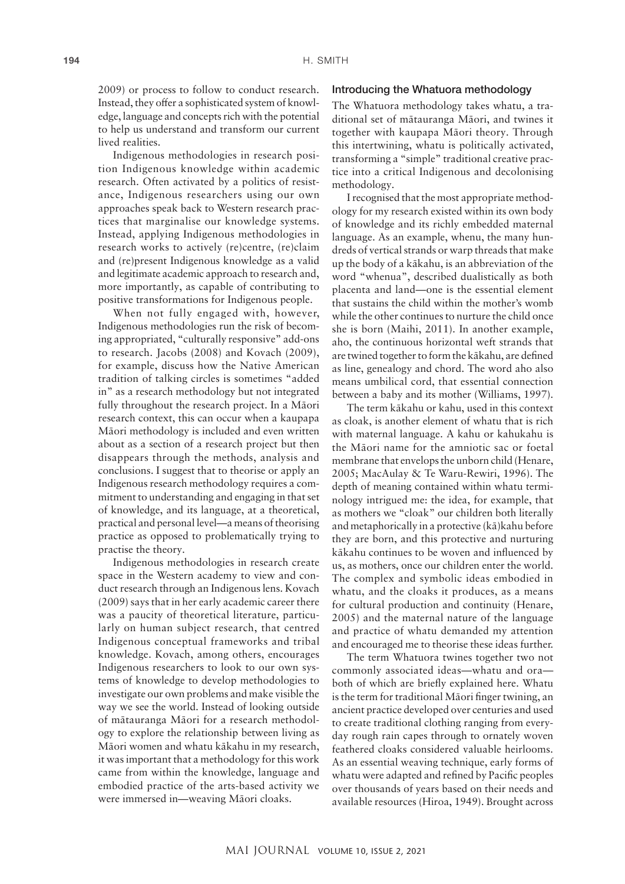2009) or process to follow to conduct research. Instead, they offer a sophisticated system of knowledge, language and concepts rich with the potential to help us understand and transform our current lived realities.

Indigenous methodologies in research position Indigenous knowledge within academic research. Often activated by a politics of resistance, Indigenous researchers using our own approaches speak back to Western research practices that marginalise our knowledge systems. Instead, applying Indigenous methodologies in research works to actively (re)centre, (re)claim and (re)present Indigenous knowledge as a valid and legitimate academic approach to research and, more importantly, as capable of contributing to positive transformations for Indigenous people.

When not fully engaged with, however, Indigenous methodologies run the risk of becoming appropriated, "culturally responsive" add-ons to research. Jacobs (2008) and Kovach (2009), for example, discuss how the Native American tradition of talking circles is sometimes "added in" as a research methodology but not integrated fully throughout the research project. In a Māori research context, this can occur when a kaupapa Māori methodology is included and even written about as a section of a research project but then disappears through the methods, analysis and conclusions. I suggest that to theorise or apply an Indigenous research methodology requires a commitment to understanding and engaging in that set of knowledge, and its language, at a theoretical, practical and personal level—a means of theorising practice as opposed to problematically trying to practise the theory.

Indigenous methodologies in research create space in the Western academy to view and conduct research through an Indigenous lens. Kovach (2009) says that in her early academic career there was a paucity of theoretical literature, particularly on human subject research, that centred Indigenous conceptual frameworks and tribal knowledge. Kovach, among others, encourages Indigenous researchers to look to our own systems of knowledge to develop methodologies to investigate our own problems and make visible the way we see the world. Instead of looking outside of mātauranga Māori for a research methodology to explore the relationship between living as Māori women and whatu kākahu in my research, it was important that a methodology for this work came from within the knowledge, language and embodied practice of the arts-based activity we were immersed in—weaving Māori cloaks.

## Introducing the Whatuora methodology

The Whatuora methodology takes whatu, a traditional set of mātauranga Māori, and twines it together with kaupapa Māori theory. Through this intertwining, whatu is politically activated, transforming a "simple" traditional creative practice into a critical Indigenous and decolonising methodology.

I recognised that the most appropriate methodology for my research existed within its own body of knowledge and its richly embedded maternal language. As an example, whenu, the many hundreds of vertical strands or warp threads that make up the body of a kākahu, is an abbreviation of the word "whenua", described dualistically as both placenta and land—one is the essential element that sustains the child within the mother's womb while the other continues to nurture the child once she is born (Maihi, 2011). In another example, aho, the continuous horizontal weft strands that are twined together to form the kākahu, are defined as line, genealogy and chord. The word aho also means umbilical cord, that essential connection between a baby and its mother (Williams, 1997).

The term kākahu or kahu, used in this context as cloak, is another element of whatu that is rich with maternal language. A kahu or kahukahu is the Māori name for the amniotic sac or foetal membrane that envelops the unborn child (Henare, 2005; MacAulay & Te Waru-Rewiri, 1996). The depth of meaning contained within whatu terminology intrigued me: the idea, for example, that as mothers we "cloak" our children both literally and metaphorically in a protective (kā)kahu before they are born, and this protective and nurturing kākahu continues to be woven and influenced by us, as mothers, once our children enter the world. The complex and symbolic ideas embodied in whatu, and the cloaks it produces, as a means for cultural production and continuity (Henare, 2005) and the maternal nature of the language and practice of whatu demanded my attention and encouraged me to theorise these ideas further.

The term Whatuora twines together two not commonly associated ideas—whatu and ora both of which are briefly explained here. Whatu is the term for traditional Māori finger twining, an ancient practice developed over centuries and used to create traditional clothing ranging from everyday rough rain capes through to ornately woven feathered cloaks considered valuable heirlooms. As an essential weaving technique, early forms of whatu were adapted and refined by Pacific peoples over thousands of years based on their needs and available resources (Hiroa, 1949). Brought across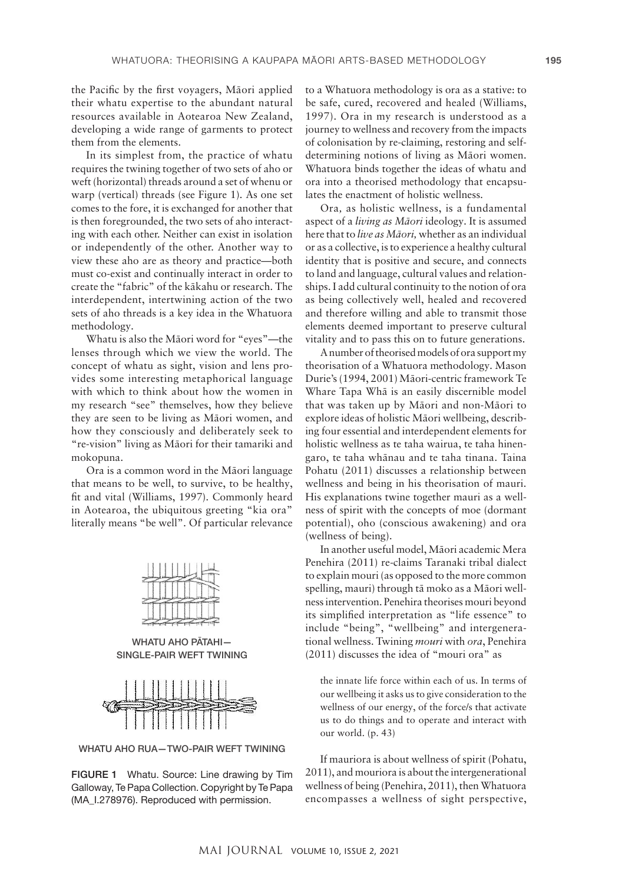the Pacific by the first voyagers, Māori applied their whatu expertise to the abundant natural resources available in Aotearoa New Zealand, developing a wide range of garments to protect them from the elements.

In its simplest from, the practice of whatu requires the twining together of two sets of aho or weft (horizontal) threads around a set of whenu or warp (vertical) threads (see Figure 1). As one set comes to the fore, it is exchanged for another that is then foregrounded, the two sets of aho interacting with each other. Neither can exist in isolation or independently of the other. Another way to view these aho are as theory and practice—both must co-exist and continually interact in order to create the "fabric" of the kākahu or research. The interdependent, intertwining action of the two sets of aho threads is a key idea in the Whatuora methodology.

Whatu is also the Māori word for "eyes"—the lenses through which we view the world. The concept of whatu as sight, vision and lens provides some interesting metaphorical language with which to think about how the women in my research "see" themselves, how they believe they are seen to be living as Māori women, and how they consciously and deliberately seek to "re-vision" living as Māori for their tamariki and mokopuna.

Ora is a common word in the Māori language that means to be well, to survive, to be healthy, fit and vital (Williams, 1997). Commonly heard in Aotearoa, the ubiquitous greeting "kia ora" literally means "be well". Of particular relevance

WHATU AHO PĀTAHI— SINGLE-PAIR WEFT TWINING



WHATU AHO RUA—TWO-PAIR WEFT TWINING

FIGURE 1 Whatu. Source: Line drawing by Tim Galloway, Te Papa Collection. Copyright by Te Papa (MA\_I.278976). Reproduced with permission.

to a Whatuora methodology is ora as a stative: to be safe, cured, recovered and healed (Williams, 1997). Ora in my research is understood as a journey to wellness and recovery from the impacts of colonisation by re-claiming, restoring and selfdetermining notions of living as Māori women. Whatuora binds together the ideas of whatu and ora into a theorised methodology that encapsulates the enactment of holistic wellness.

Ora*,* as holistic wellness, is a fundamental aspect of a *living as Māori* ideology. It is assumed here that to *live as Māori,* whether as an individual or as a collective, is to experience a healthy cultural identity that is positive and secure, and connects to land and language, cultural values and relationships. I add cultural continuity to the notion of ora as being collectively well, healed and recovered and therefore willing and able to transmit those elements deemed important to preserve cultural vitality and to pass this on to future generations.

A number of theorised models of ora support my theorisation of a Whatuora methodology. Mason Durie's (1994, 2001) Māori-centric framework Te Whare Tapa Whā is an easily discernible model that was taken up by Māori and non-Māori to explore ideas of holistic Māori wellbeing, describing four essential and interdependent elements for holistic wellness as te taha wairua, te taha hinengaro, te taha whānau and te taha tinana. Taina Pohatu (2011) discusses a relationship between wellness and being in his theorisation of mauri. His explanations twine together mauri as a wellness of spirit with the concepts of moe (dormant potential), oho (conscious awakening) and ora (wellness of being).

In another useful model, Māori academic Mera Penehira (2011) re-claims Taranaki tribal dialect to explain mouri (as opposed to the more common spelling, mauri) through tā moko as a Māori wellness intervention. Penehira theorises mouri beyond its simplified interpretation as "life essence" to include "being", "wellbeing" and intergenerational wellness. Twining *mouri* with *ora*, Penehira (2011) discusses the idea of "mouri ora" as

the innate life force within each of us. In terms of our wellbeing it asks us to give consideration to the wellness of our energy, of the force/s that activate us to do things and to operate and interact with our world. (p. 43)

If mauriora is about wellness of spirit (Pohatu, 2011), and mouriora is about the intergenerational wellness of being (Penehira, 2011), then Whatuora encompasses a wellness of sight perspective,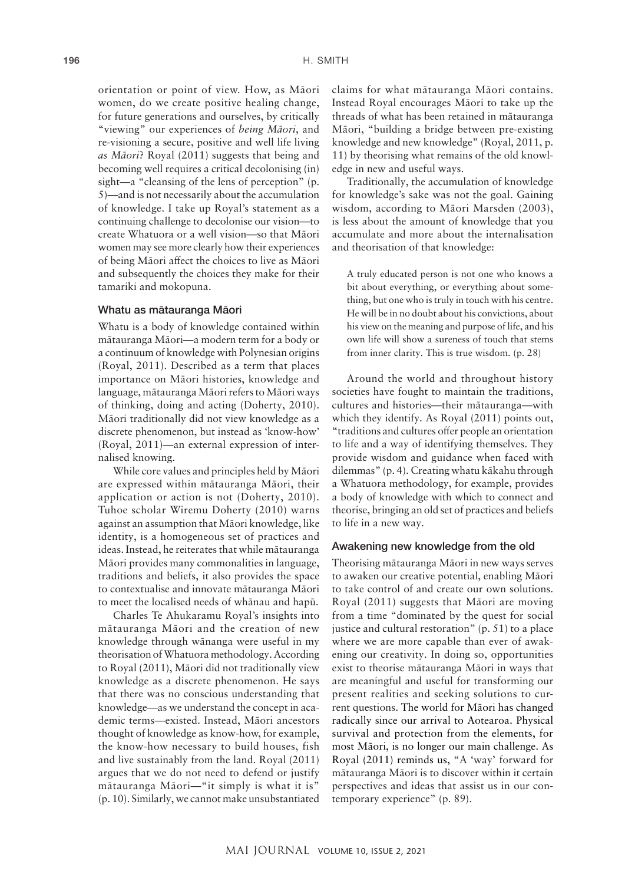orientation or point of view. How, as Māori women, do we create positive healing change, for future generations and ourselves, by critically "viewing" our experiences of *being Māori*, and re-visioning a secure, positive and well life living *as Māori*? Royal (2011) suggests that being and becoming well requires a critical decolonising (in) sight—a "cleansing of the lens of perception" (p. 5)—and is not necessarily about the accumulation of knowledge. I take up Royal's statement as a continuing challenge to decolonise our vision—to create Whatuora or a well vision—so that Māori women may see more clearly how their experiences of being Māori affect the choices to live as Māori and subsequently the choices they make for their tamariki and mokopuna.

#### Whatu as mātauranga Māori

Whatu is a body of knowledge contained within mātauranga Māori—a modern term for a body or a continuum of knowledge with Polynesian origins (Royal, 2011). Described as a term that places importance on Māori histories, knowledge and language, mātauranga Māori refers to Māori ways of thinking, doing and acting (Doherty, 2010). Māori traditionally did not view knowledge as a discrete phenomenon, but instead as 'know-how' (Royal, 2011)—an external expression of internalised knowing.

While core values and principles held by Māori are expressed within mātauranga Māori, their application or action is not (Doherty, 2010). Tuhoe scholar Wiremu Doherty (2010) warns against an assumption that Māori knowledge, like identity, is a homogeneous set of practices and ideas. Instead, he reiterates that while mātauranga Māori provides many commonalities in language, traditions and beliefs, it also provides the space to contextualise and innovate mātauranga Māori to meet the localised needs of whānau and hapū.

Charles Te Ahukaramu Royal's insights into mātauranga Māori and the creation of new knowledge through wānanga were useful in my theorisation of Whatuora methodology. According to Royal (2011), Māori did not traditionally view knowledge as a discrete phenomenon. He says that there was no conscious understanding that knowledge—as we understand the concept in academic terms—existed. Instead, Māori ancestors thought of knowledge as know-how, for example, the know-how necessary to build houses, fish and live sustainably from the land. Royal (2011) argues that we do not need to defend or justify mātauranga Māori—"it simply is what it is" (p. 10). Similarly, we cannot make unsubstantiated

claims for what mātauranga Māori contains. Instead Royal encourages Māori to take up the threads of what has been retained in mātauranga Māori, "building a bridge between pre-existing knowledge and new knowledge" (Royal, 2011, p. 11) by theorising what remains of the old knowledge in new and useful ways.

Traditionally, the accumulation of knowledge for knowledge's sake was not the goal. Gaining wisdom, according to Māori Marsden (2003), is less about the amount of knowledge that you accumulate and more about the internalisation and theorisation of that knowledge:

A truly educated person is not one who knows a bit about everything, or everything about something, but one who is truly in touch with his centre. He will be in no doubt about his convictions, about his view on the meaning and purpose of life, and his own life will show a sureness of touch that stems from inner clarity. This is true wisdom. (p. 28)

Around the world and throughout history societies have fought to maintain the traditions, cultures and histories—their mātauranga—with which they identify. As Royal (2011) points out, "traditions and cultures offer people an orientation to life and a way of identifying themselves. They provide wisdom and guidance when faced with dilemmas" (p. 4). Creating whatu kākahu through a Whatuora methodology, for example, provides a body of knowledge with which to connect and theorise, bringing an old set of practices and beliefs to life in a new way.

## Awakening new knowledge from the old

Theorising mātauranga Māori in new ways serves to awaken our creative potential, enabling Māori to take control of and create our own solutions. Royal (2011) suggests that Māori are moving from a time "dominated by the quest for social justice and cultural restoration" (p. 51) to a place where we are more capable than ever of awakening our creativity. In doing so, opportunities exist to theorise mātauranga Māori in ways that are meaningful and useful for transforming our present realities and seeking solutions to current questions. The world for Māori has changed radically since our arrival to Aotearoa. Physical survival and protection from the elements, for most Māori, is no longer our main challenge. As Royal (2011) reminds us, "A 'way' forward for mātauranga Māori is to discover within it certain perspectives and ideas that assist us in our contemporary experience" (p. 89).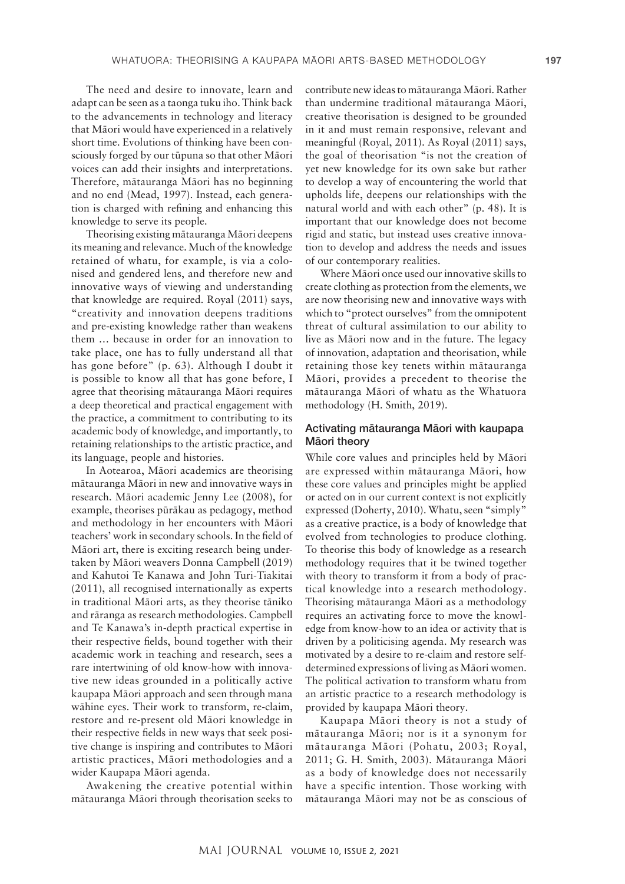The need and desire to innovate, learn and adapt can be seen as a taonga tuku iho. Think back to the advancements in technology and literacy that Māori would have experienced in a relatively short time. Evolutions of thinking have been consciously forged by our tūpuna so that other Māori voices can add their insights and interpretations. Therefore, mātauranga Māori has no beginning and no end (Mead, 1997). Instead, each generation is charged with refining and enhancing this knowledge to serve its people.

Theorising existing mātauranga Māori deepens its meaning and relevance. Much of the knowledge retained of whatu, for example, is via a colonised and gendered lens, and therefore new and innovative ways of viewing and understanding that knowledge are required. Royal (2011) says, "creativity and innovation deepens traditions and pre-existing knowledge rather than weakens them … because in order for an innovation to take place, one has to fully understand all that has gone before" (p. 63). Although I doubt it is possible to know all that has gone before, I agree that theorising mātauranga Māori requires a deep theoretical and practical engagement with the practice, a commitment to contributing to its academic body of knowledge, and importantly, to retaining relationships to the artistic practice, and its language, people and histories.

In Aotearoa, Māori academics are theorising mātauranga Māori in new and innovative ways in research. Māori academic Jenny Lee (2008), for example, theorises pūrākau as pedagogy, method and methodology in her encounters with Māori teachers' work in secondary schools. In the field of Māori art, there is exciting research being undertaken by Māori weavers Donna Campbell (2019) and Kahutoi Te Kanawa and John Turi-Tiakitai (2011), all recognised internationally as experts in traditional Māori arts, as they theorise tāniko and rāranga as research methodologies. Campbell and Te Kanawa's in-depth practical expertise in their respective fields, bound together with their academic work in teaching and research, sees a rare intertwining of old know-how with innovative new ideas grounded in a politically active kaupapa Māori approach and seen through mana wāhine eyes. Their work to transform, re-claim, restore and re-present old Māori knowledge in their respective fields in new ways that seek positive change is inspiring and contributes to Māori artistic practices, Māori methodologies and a wider Kaupapa Māori agenda.

Awakening the creative potential within mātauranga Māori through theorisation seeks to

contribute new ideas to mātauranga Māori. Rather than undermine traditional mātauranga Māori, creative theorisation is designed to be grounded in it and must remain responsive, relevant and meaningful (Royal, 2011). As Royal (2011) says, the goal of theorisation "is not the creation of yet new knowledge for its own sake but rather to develop a way of encountering the world that upholds life, deepens our relationships with the natural world and with each other" (p. 48). It is important that our knowledge does not become rigid and static, but instead uses creative innovation to develop and address the needs and issues of our contemporary realities.

Where Māori once used our innovative skills to create clothing as protection from the elements, we are now theorising new and innovative ways with which to "protect ourselves" from the omnipotent threat of cultural assimilation to our ability to live as Māori now and in the future. The legacy of innovation, adaptation and theorisation, while retaining those key tenets within mātauranga Māori, provides a precedent to theorise the mātauranga Māori of whatu as the Whatuora methodology (H. Smith, 2019).

# Activating mātauranga Māori with kaupapa Māori theory

While core values and principles held by Māori are expressed within mātauranga Māori, how these core values and principles might be applied or acted on in our current context is not explicitly expressed (Doherty, 2010). Whatu, seen "simply" as a creative practice, is a body of knowledge that evolved from technologies to produce clothing. To theorise this body of knowledge as a research methodology requires that it be twined together with theory to transform it from a body of practical knowledge into a research methodology. Theorising mātauranga Māori as a methodology requires an activating force to move the knowledge from know-how to an idea or activity that is driven by a politicising agenda. My research was motivated by a desire to re-claim and restore selfdetermined expressions of living as Māori women. The political activation to transform whatu from an artistic practice to a research methodology is provided by kaupapa Māori theory.

Kaupapa Māori theory is not a study of mātauranga Māori; nor is it a synonym for mātauranga Māori (Pohatu, 2003; Royal, 2011; G. H. Smith, 2003). Mātauranga Māori as a body of knowledge does not necessarily have a specific intention. Those working with mātauranga Māori may not be as conscious of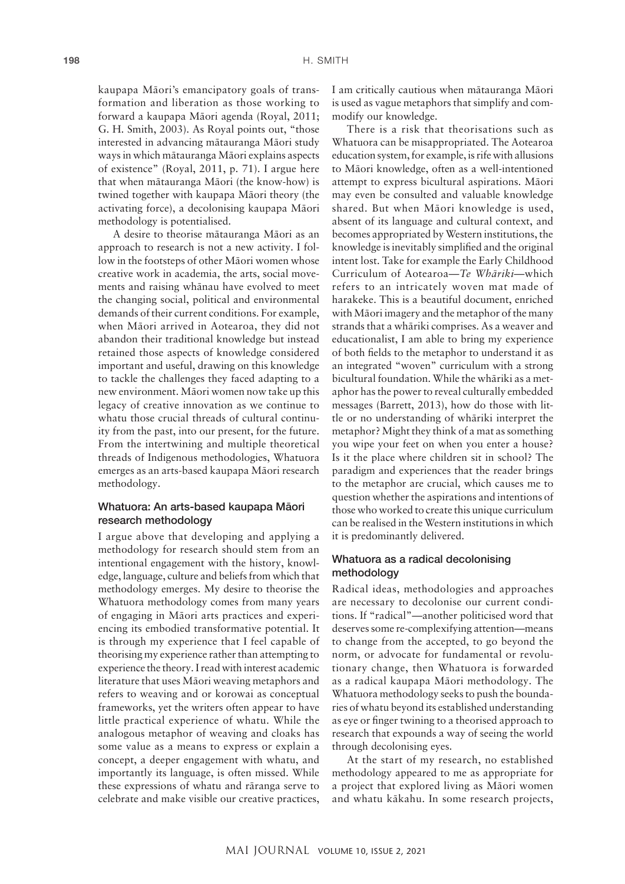kaupapa Māori's emancipatory goals of transformation and liberation as those working to forward a kaupapa Māori agenda (Royal, 2011; G. H. Smith, 2003). As Royal points out, "those interested in advancing mātauranga Māori study ways in which mātauranga Māori explains aspects of existence" (Royal, 2011, p. 71). I argue here that when mātauranga Māori (the know-how) is twined together with kaupapa Māori theory (the activating force), a decolonising kaupapa Māori methodology is potentialised.

A desire to theorise mātauranga Māori as an approach to research is not a new activity. I follow in the footsteps of other Māori women whose creative work in academia, the arts, social movements and raising whānau have evolved to meet the changing social, political and environmental demands of their current conditions. For example, when Māori arrived in Aotearoa, they did not abandon their traditional knowledge but instead retained those aspects of knowledge considered important and useful, drawing on this knowledge to tackle the challenges they faced adapting to a new environment. Māori women now take up this legacy of creative innovation as we continue to whatu those crucial threads of cultural continuity from the past, into our present, for the future. From the intertwining and multiple theoretical threads of Indigenous methodologies, Whatuora emerges as an arts-based kaupapa Māori research methodology.

# Whatuora: An arts-based kaupapa Māori research methodology

I argue above that developing and applying a methodology for research should stem from an intentional engagement with the history, knowledge, language, culture and beliefs from which that methodology emerges. My desire to theorise the Whatuora methodology comes from many years of engaging in Māori arts practices and experiencing its embodied transformative potential. It is through my experience that I feel capable of theorising my experience rather than attempting to experience the theory. I read with interest academic literature that uses Māori weaving metaphors and refers to weaving and or korowai as conceptual frameworks, yet the writers often appear to have little practical experience of whatu. While the analogous metaphor of weaving and cloaks has some value as a means to express or explain a concept, a deeper engagement with whatu, and importantly its language, is often missed. While these expressions of whatu and rāranga serve to celebrate and make visible our creative practices,

I am critically cautious when mātauranga Māori is used as vague metaphors that simplify and commodify our knowledge.

There is a risk that theorisations such as Whatuora can be misappropriated. The Aotearoa education system, for example, is rife with allusions to Māori knowledge, often as a well-intentioned attempt to express bicultural aspirations. Māori may even be consulted and valuable knowledge shared. But when Māori knowledge is used, absent of its language and cultural context, and becomes appropriated by Western institutions, the knowledge is inevitably simplified and the original intent lost. Take for example the Early Childhood Curriculum of Aotearoa—*Te Whāriki*—which refers to an intricately woven mat made of harakeke. This is a beautiful document, enriched with Māori imagery and the metaphor of the many strands that a whāriki comprises. As a weaver and educationalist, I am able to bring my experience of both fields to the metaphor to understand it as an integrated "woven" curriculum with a strong bicultural foundation. While the whāriki as a metaphor has the power to reveal culturally embedded messages (Barrett, 2013), how do those with little or no understanding of whāriki interpret the metaphor? Might they think of a mat as something you wipe your feet on when you enter a house? Is it the place where children sit in school? The paradigm and experiences that the reader brings to the metaphor are crucial, which causes me to question whether the aspirations and intentions of those who worked to create this unique curriculum can be realised in the Western institutions in which it is predominantly delivered.

# Whatuora as a radical decolonising methodology

Radical ideas, methodologies and approaches are necessary to decolonise our current conditions. If "radical"—another politicised word that deserves some re-complexifying attention—means to change from the accepted, to go beyond the norm, or advocate for fundamental or revolutionary change, then Whatuora is forwarded as a radical kaupapa Māori methodology. The Whatuora methodology seeks to push the boundaries of whatu beyond its established understanding as eye or finger twining to a theorised approach to research that expounds a way of seeing the world through decolonising eyes.

At the start of my research, no established methodology appeared to me as appropriate for a project that explored living as Māori women and whatu kākahu. In some research projects,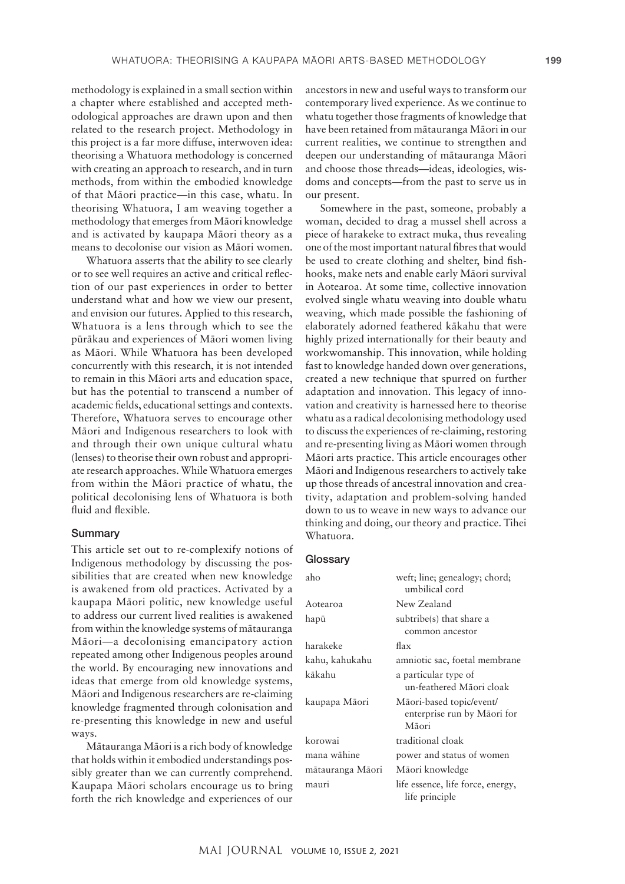methodology is explained in a small section within a chapter where established and accepted methodological approaches are drawn upon and then related to the research project. Methodology in this project is a far more diffuse, interwoven idea: theorising a Whatuora methodology is concerned with creating an approach to research, and in turn methods, from within the embodied knowledge of that Māori practice—in this case, whatu. In theorising Whatuora, I am weaving together a methodology that emerges from Māori knowledge and is activated by kaupapa Māori theory as a means to decolonise our vision as Māori women.

Whatuora asserts that the ability to see clearly or to see well requires an active and critical reflection of our past experiences in order to better understand what and how we view our present, and envision our futures. Applied to this research, Whatuora is a lens through which to see the pūrākau and experiences of Māori women living as Māori. While Whatuora has been developed concurrently with this research, it is not intended to remain in this Māori arts and education space, but has the potential to transcend a number of academic fields, educational settings and contexts. Therefore, Whatuora serves to encourage other Māori and Indigenous researchers to look with and through their own unique cultural whatu (lenses) to theorise their own robust and appropriate research approaches. While Whatuora emerges from within the Māori practice of whatu, the political decolonising lens of Whatuora is both fluid and flexible.

# **Summary**

This article set out to re-complexify notions of Indigenous methodology by discussing the possibilities that are created when new knowledge is awakened from old practices. Activated by a kaupapa Māori politic, new knowledge useful to address our current lived realities is awakened from within the knowledge systems of mātauranga Māori—a decolonising emancipatory action repeated among other Indigenous peoples around the world. By encouraging new innovations and ideas that emerge from old knowledge systems, Māori and Indigenous researchers are re-claiming knowledge fragmented through colonisation and re-presenting this knowledge in new and useful ways.

Mātauranga Māori is a rich body of knowledge that holds within it embodied understandings possibly greater than we can currently comprehend. Kaupapa Māori scholars encourage us to bring forth the rich knowledge and experiences of our ancestors in new and useful ways to transform our contemporary lived experience. As we continue to whatu together those fragments of knowledge that have been retained from mātauranga Māori in our current realities, we continue to strengthen and deepen our understanding of mātauranga Māori and choose those threads—ideas, ideologies, wisdoms and concepts—from the past to serve us in our present.

Somewhere in the past, someone, probably a woman, decided to drag a mussel shell across a piece of harakeke to extract muka, thus revealing one of the most important natural fibres that would be used to create clothing and shelter, bind fishhooks, make nets and enable early Māori survival in Aotearoa. At some time, collective innovation evolved single whatu weaving into double whatu weaving, which made possible the fashioning of elaborately adorned feathered kākahu that were highly prized internationally for their beauty and workwomanship. This innovation, while holding fast to knowledge handed down over generations, created a new technique that spurred on further adaptation and innovation. This legacy of innovation and creativity is harnessed here to theorise whatu as a radical decolonising methodology used to discuss the experiences of re-claiming, restoring and re-presenting living as Māori women through Māori arts practice. This article encourages other Māori and Indigenous researchers to actively take up those threads of ancestral innovation and creativity, adaptation and problem-solving handed down to us to weave in new ways to advance our thinking and doing, our theory and practice. Tihei Whatuora.

## **Glossarv**

| aho              | weft; line; genealogy; chord;<br>umbilical cord                  |  |  |
|------------------|------------------------------------------------------------------|--|--|
| Aotearoa         | New Zealand                                                      |  |  |
| hapū             | subtribe(s) that share a<br>common ancestor                      |  |  |
| harakeke         | flax                                                             |  |  |
| kahu, kahukahu   | amniotic sac, foetal membrane                                    |  |  |
| kākahu           | a particular type of<br>un-feathered Māori cloak                 |  |  |
| kaupapa Māori    | Māori-based topic/event/<br>enterprise run by Māori for<br>Māori |  |  |
| korowai          | traditional cloak                                                |  |  |
| mana wāhine      | power and status of women                                        |  |  |
| mātauranga Māori | Māori knowledge                                                  |  |  |
| mauri            | life essence, life force, energy,<br>life principle              |  |  |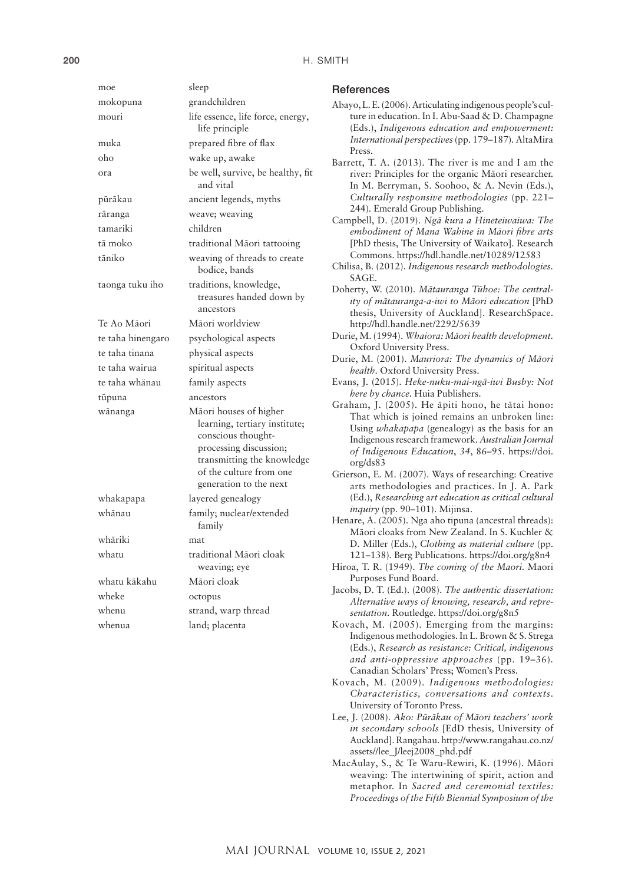| moe               | sleep                                                                                                                                                                                      |  |  |
|-------------------|--------------------------------------------------------------------------------------------------------------------------------------------------------------------------------------------|--|--|
| mokopuna          | grandchildren                                                                                                                                                                              |  |  |
| mouri             | life essence, life force, energy,<br>life principle                                                                                                                                        |  |  |
| muka              | prepared fibre of flax                                                                                                                                                                     |  |  |
| oho               | wake up, awake                                                                                                                                                                             |  |  |
| ora               | be well, survive, be healthy, fit<br>and vital                                                                                                                                             |  |  |
| pūrākau           | ancient legends, myths                                                                                                                                                                     |  |  |
| rāranga           | weave; weaving                                                                                                                                                                             |  |  |
| tamariki          | children                                                                                                                                                                                   |  |  |
| tā moko           | traditional Māori tattooing                                                                                                                                                                |  |  |
| tāniko            | weaving of threads to create<br>bodice, bands                                                                                                                                              |  |  |
| taonga tuku iho   | traditions, knowledge,<br>treasures handed down by<br>ancestors                                                                                                                            |  |  |
| Te Ao Māori       | Māori worldview                                                                                                                                                                            |  |  |
| te taha hinengaro | psychological aspects                                                                                                                                                                      |  |  |
| te taha tinana    | physical aspects                                                                                                                                                                           |  |  |
| te taha wairua    | spiritual aspects                                                                                                                                                                          |  |  |
| te taha whänau    | family aspects                                                                                                                                                                             |  |  |
| tūpuna            | ancestors                                                                                                                                                                                  |  |  |
| wānanga           | Māori houses of higher<br>learning, tertiary institute;<br>conscious thought-<br>processing discussion;<br>transmitting the knowledge<br>of the culture from one<br>generation to the next |  |  |
| whakapapa         | layered genealogy                                                                                                                                                                          |  |  |
| whānau            | family; nuclear/extended<br>family                                                                                                                                                         |  |  |
| whāriki           | mat                                                                                                                                                                                        |  |  |
| whatu             | traditional Māori cloak<br>weaving; eye                                                                                                                                                    |  |  |
| whatu kākahu      | Māori cloak                                                                                                                                                                                |  |  |
| wheke             | octopus                                                                                                                                                                                    |  |  |
| whenu             | strand, warp thread                                                                                                                                                                        |  |  |
| whenua            | land; placenta                                                                                                                                                                             |  |  |
|                   |                                                                                                                                                                                            |  |  |

#### **References**

- Abayo, L. E. (2006). Articulating indigenous people's culture in education. In I. Abu-Saad & D. Champagne (Eds.), *Indigenous education and empowerment: International perspectives* (pp. 179–187)*.* AltaMira Press.
- Barrett, T. A. (2013). The river is me and I am the river: Principles for the organic Māori researcher. In M. Berryman, S. Soohoo, & A. Nevin (Eds.), *Culturally responsive methodologies* (pp. 221– 244)*.* Emerald Group Publishing.
- Campbell, D. (2019). *Ngā kura a Hineteiwaiwa: The embodiment of Mana Wahine in Māori fibre arts*  [PhD thesis, The University of Waikato]. Research Commons.<https://hdl.handle.net/10289/12583>
- Chilisa, B. (2012). *Indigenous research methodologies.*  SAGE.
- Doherty, W. (2010). *Mātauranga Tūhoe: The centrality of mātauranga-a-iwi to Māori education* [PhD thesis, University of Auckland]. ResearchSpace. <http://hdl.handle.net/2292/5639>
- Durie, M. (1994). *Whaiora: Māori health development.*  Oxford University Press.
- Durie, M. (2001). *Mauriora: The dynamics of Māori health.* Oxford University Press.
- Evans, J. (2015). *Heke-nuku-mai-ngā-iwi Busby: Not here by chance.* Huia Publishers.
- Graham, J. (2005). He āpiti hono, he tātai hono: That which is joined remains an unbroken line: Using *whakapapa* (genealogy) as the basis for an Indigenous research framework. *Australian Journal of Indigenous Education*, *34*, 86–95. [https://doi.](https://doi.org/ds83) [org/ds83](https://doi.org/ds83)
- Grierson, E. M. (2007). Ways of researching: Creative arts methodologies and practices. In J. A. Park (Ed.), *Researching* a*rt education as critical cultural inquiry* (pp. 90–101). Mijinsa.
- Henare, A. (2005). Nga aho tipuna (ancestral threads): Māori cloaks from New Zealand. In S. Kuchler & D. Miller (Eds.), *Clothing as material culture* (pp. 121–138)*.* Berg Publications.<https://doi.org/g8n4>
- Hiroa, T. R. (1949). *The coming of the Maori.* Maori Purposes Fund Board.
- Jacobs, D. T. (Ed.). (2008). *The authentic dissertation: Alternative ways of knowing, research, and representation.* Routledge.<https://doi.org/g8n5>
- Kovach, M. (2005). Emerging from the margins: Indigenous methodologies. In L. Brown & S. Strega (Eds.), *Research as resistance: Critical, indigenous and anti-oppressive approaches* (pp. 19–36)*.*  Canadian Scholars' Press; Women's Press.
- Kovach, M. (2009). *Indigenous methodologies: Characteristics, conversations and contexts.*  University of Toronto Press.
- Lee, J. (2008). *Ako: Pūrākau of Māori teachers' work in secondary schools* [EdD thesis*,* University of Auckland]. Rangahau. [http://www.rangahau.co.nz/](http://www.rangahau.co.nz/assets//lee_J/leej2008_phd.pdf) [assets//lee\\_J/leej2008\\_phd.pdf](http://www.rangahau.co.nz/assets//lee_J/leej2008_phd.pdf)
- MacAulay, S., & Te Waru-Rewiri, K. (1996). Māori weaving: The intertwining of spirit, action and metaphor. In *Sacred and ceremonial textiles: Proceedings of the Fifth Biennial Symposium of the*